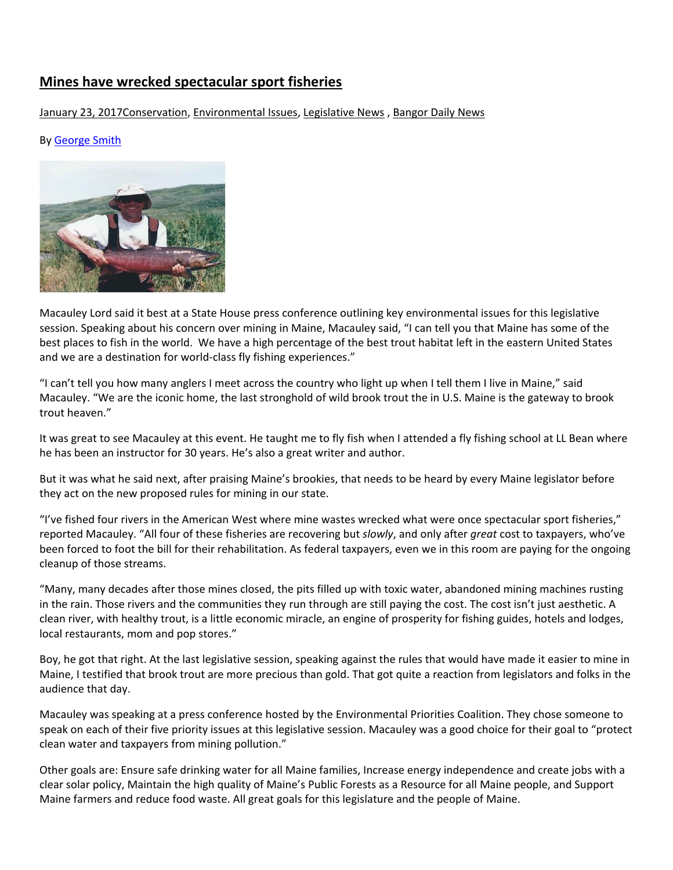# **Mines have wrecked spectacular sport fisheries**

## January 23, 2017 Conservation, [Environmental Issues,](http://georgesoutdoornews.bangordailynews.com/category/environmental-issues/) [Legislative News](http://georgesoutdoornews.bangordailynews.com/category/legislative-news/), Bangor Daily News

### By [George Smith](http://georgesoutdoornews.bangordailynews.com/author/georgesmith/)



Macauley Lord said it best at a State House press conference outlining key environmental issues for this legislative session. Speaking about his concern over mining in Maine, Macauley said, "I can tell you that Maine has some of the best places to fish in the world. We have a high percentage of the best trout habitat left in the eastern United States and we are a destination for world-class fly fishing experiences."

"I can't tell you how many anglers I meet across the country who light up when I tell them I live in Maine," said Macauley. "We are the iconic home, the last stronghold of wild brook trout the in U.S. Maine is the gateway to brook trout heaven."

It was great to see Macauley at this event. He taught me to fly fish when I attended a fly fishing school at LL Bean where he has been an instructor for 30 years. He's also a great writer and author.

But it was what he said next, after praising Maine's brookies, that needs to be heard by every Maine legislator before they act on the new proposed rules for mining in our state.

"I've fished four rivers in the American West where mine wastes wrecked what were once spectacular sport fisheries," reported Macauley. "All four of these fisheries are recovering but *slowly*, and only after *great* cost to taxpayers, who've been forced to foot the bill for their rehabilitation. As federal taxpayers, even we in this room are paying for the ongoing cleanup of those streams.

"Many, many decades after those mines closed, the pits filled up with toxic water, abandoned mining machines rusting in the rain. Those rivers and the communities they run through are still paying the cost. The cost isn't just aesthetic. A clean river, with healthy trout, is a little economic miracle, an engine of prosperity for fishing guides, hotels and lodges, local restaurants, mom and pop stores."

Boy, he got that right. At the last legislative session, speaking against the rules that would have made it easier to mine in Maine, I testified that brook trout are more precious than gold. That got quite a reaction from legislators and folks in the audience that day.

Macauley was speaking at a press conference hosted by the Environmental Priorities Coalition. They chose someone to speak on each of their five priority issues at this legislative session. Macauley was a good choice for their goal to "protect clean water and taxpayers from mining pollution."

Other goals are: Ensure safe drinking water for all Maine families, Increase energy independence and create jobs with a clear solar policy, Maintain the high quality of Maine's Public Forests as a Resource for all Maine people, and Support Maine farmers and reduce food waste. All great goals for this legislature and the people of Maine.